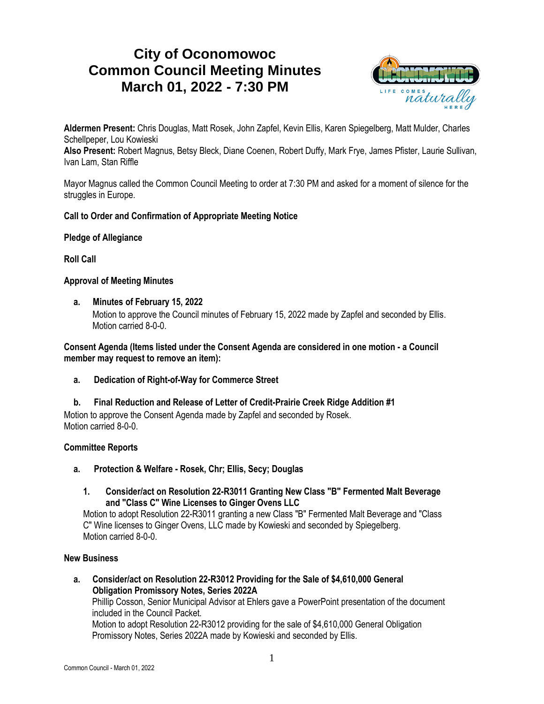# **City of Oconomowoc Common Council Meeting Minutes March 01, 2022 - 7:30 PM**



**Aldermen Present:** Chris Douglas, Matt Rosek, John Zapfel, Kevin Ellis, Karen Spiegelberg, Matt Mulder, Charles Schellpeper, Lou Kowieski

**Also Present:** Robert Magnus, Betsy Bleck, Diane Coenen, Robert Duffy, Mark Frye, James Pfister, Laurie Sullivan, Ivan Lam, Stan Riffle

Mayor Magnus called the Common Council Meeting to order at 7:30 PM and asked for a moment of silence for the struggles in Europe.

# **Call to Order and Confirmation of Appropriate Meeting Notice**

# **Pledge of Allegiance**

**Roll Call**

# **Approval of Meeting Minutes**

**a. Minutes of February 15, 2022**

Motion to approve the Council minutes of February 15, 2022 made by Zapfel and seconded by Ellis. Motion carried 8-0-0.

**Consent Agenda (Items listed under the Consent Agenda are considered in one motion - a Council member may request to remove an item):**

**a. Dedication of Right-of-Way for Commerce Street**

**b. Final Reduction and Release of Letter of Credit-Prairie Creek Ridge Addition #1** Motion to approve the Consent Agenda made by Zapfel and seconded by Rosek. Motion carried 8-0-0

# **Committee Reports**

- **a. Protection & Welfare - Rosek, Chr; Ellis, Secy; Douglas**
	- **1. Consider/act on Resolution 22-R3011 Granting New Class "B" Fermented Malt Beverage and "Class C" Wine Licenses to Ginger Ovens LLC**

Motion to adopt Resolution 22-R3011 granting a new Class "B" Fermented Malt Beverage and "Class C" Wine licenses to Ginger Ovens, LLC made by Kowieski and seconded by Spiegelberg. Motion carried 8-0-0.

# **New Business**

**a. Consider/act on Resolution 22-R3012 Providing for the Sale of \$4,610,000 General Obligation Promissory Notes, Series 2022A**

Phillip Cosson, Senior Municipal Advisor at Ehlers gave a PowerPoint presentation of the document included in the Council Packet.

Motion to adopt Resolution 22-R3012 providing for the sale of \$4,610,000 General Obligation Promissory Notes, Series 2022A made by Kowieski and seconded by Ellis.